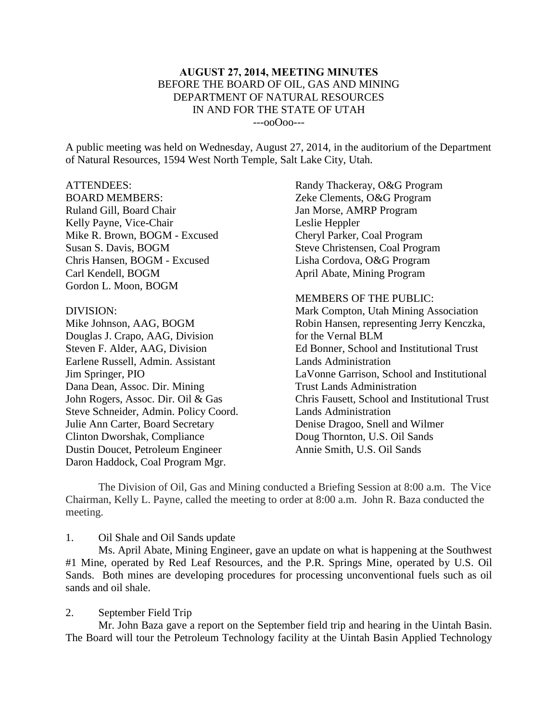## **AUGUST 27, 2014, MEETING MINUTES** BEFORE THE BOARD OF OIL, GAS AND MINING DEPARTMENT OF NATURAL RESOURCES IN AND FOR THE STATE OF UTAH ---ooOoo---

A public meeting was held on Wednesday, August 27, 2014, in the auditorium of the Department of Natural Resources, 1594 West North Temple, Salt Lake City, Utah.

### ATTENDEES:

BOARD MEMBERS: Ruland Gill, Board Chair Kelly Payne, Vice-Chair Mike R. Brown, BOGM - Excused Susan S. Davis, BOGM Chris Hansen, BOGM - Excused Carl Kendell, BOGM Gordon L. Moon, BOGM

#### DIVISION:

Mike Johnson, AAG, BOGM Douglas J. Crapo, AAG, Division Steven F. Alder, AAG, Division Earlene Russell, Admin. Assistant Jim Springer, PIO Dana Dean, Assoc. Dir. Mining John Rogers, Assoc. Dir. Oil & Gas Steve Schneider, Admin. Policy Coord. Julie Ann Carter, Board Secretary Clinton Dworshak, Compliance Dustin Doucet, Petroleum Engineer Daron Haddock, Coal Program Mgr.

Randy Thackeray, O&G Program Zeke Clements, O&G Program Jan Morse, AMRP Program Leslie Heppler Cheryl Parker, Coal Program Steve Christensen, Coal Program Lisha Cordova, O&G Program April Abate, Mining Program

MEMBERS OF THE PUBLIC: Mark Compton, Utah Mining Association Robin Hansen, representing Jerry Kenczka, for the Vernal BLM Ed Bonner, School and Institutional Trust Lands Administration LaVonne Garrison, School and Institutional Trust Lands Administration Chris Fausett, School and Institutional Trust Lands Administration Denise Dragoo, Snell and Wilmer Doug Thornton, U.S. Oil Sands Annie Smith, U.S. Oil Sands

The Division of Oil, Gas and Mining conducted a Briefing Session at 8:00 a.m. The Vice Chairman, Kelly L. Payne, called the meeting to order at 8:00 a.m. John R. Baza conducted the meeting.

#### 1. Oil Shale and Oil Sands update

Ms. April Abate, Mining Engineer, gave an update on what is happening at the Southwest #1 Mine, operated by Red Leaf Resources, and the P.R. Springs Mine, operated by U.S. Oil Sands. Both mines are developing procedures for processing unconventional fuels such as oil sands and oil shale.

#### 2. September Field Trip

Mr. John Baza gave a report on the September field trip and hearing in the Uintah Basin. The Board will tour the Petroleum Technology facility at the Uintah Basin Applied Technology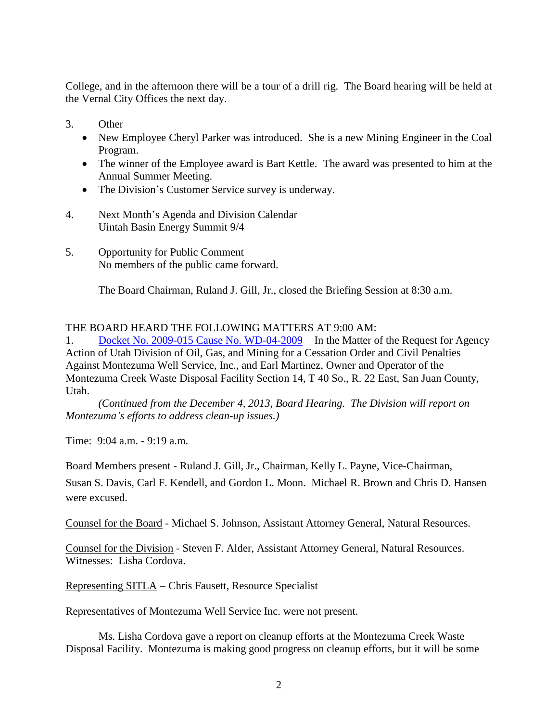College, and in the afternoon there will be a tour of a drill rig. The Board hearing will be held at the Vernal City Offices the next day.

- 3. Other
	- New Employee Cheryl Parker was introduced. She is a new Mining Engineer in the Coal Program.
	- The winner of the Employee award is Bart Kettle. The award was presented to him at the Annual Summer Meeting.
	- The Division's Customer Service survey is underway.
- 4. Next Month's Agenda and Division Calendar Uintah Basin Energy Summit 9/4
- 5. Opportunity for Public Comment No members of the public came forward.

The Board Chairman, Ruland J. Gill, Jr., closed the Briefing Session at 8:30 a.m.

# THE BOARD HEARD THE FOLLOWING MATTERS AT 9:00 AM:

1. Docket No. 2009-015 Cause No. [WD-04-2009](http://ogm.utah.gov/amr/boardtemp/redesign/2014/08_aug/dockets/2009-015_wd-04-2009_montezuma.html) – In the Matter of the Request for Agency Action of Utah Division of Oil, Gas, and Mining for a Cessation Order and Civil Penalties Against Montezuma Well Service, Inc., and Earl Martinez, Owner and Operator of the Montezuma Creek Waste Disposal Facility Section 14, T 40 So., R. 22 East, San Juan County, Utah.

*(Continued from the December 4, 2013, Board Hearing. The Division will report on Montezuma's efforts to address clean-up issues.)*

Time: 9:04 a.m. - 9:19 a.m.

Board Members present - Ruland J. Gill, Jr., Chairman, Kelly L. Payne, Vice-Chairman, Susan S. Davis, Carl F. Kendell, and Gordon L. Moon. Michael R. Brown and Chris D. Hansen were excused.

Counsel for the Board - Michael S. Johnson, Assistant Attorney General, Natural Resources.

Counsel for the Division - Steven F. Alder, Assistant Attorney General, Natural Resources. Witnesses: Lisha Cordova.

Representing SITLA – Chris Fausett, Resource Specialist

Representatives of Montezuma Well Service Inc. were not present.

Ms. Lisha Cordova gave a report on cleanup efforts at the Montezuma Creek Waste Disposal Facility. Montezuma is making good progress on cleanup efforts, but it will be some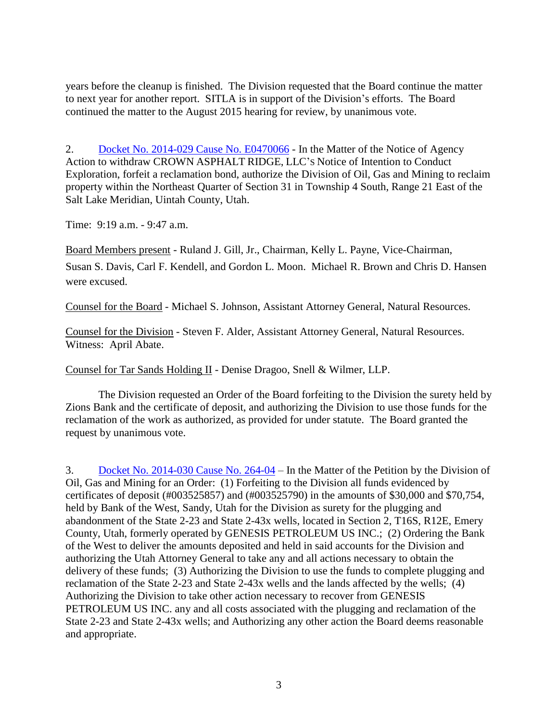years before the cleanup is finished. The Division requested that the Board continue the matter to next year for another report. SITLA is in support of the Division's efforts. The Board continued the matter to the August 2015 hearing for review, by unanimous vote.

2. Docket No. 2014-029 Cause No. [E0470066](http://ogm.utah.gov/amr/boardtemp/redesign/2014/08_aug/dockets/2014-029_e0470066_crown_asphalt_ridge.html) - In the Matter of the Notice of Agency Action to withdraw CROWN ASPHALT RIDGE, LLC'S Notice of Intention to Conduct Exploration, forfeit a reclamation bond, authorize the Division of Oil, Gas and Mining to reclaim property within the Northeast Quarter of Section 31 in Township 4 South, Range 21 East of the Salt Lake Meridian, Uintah County, Utah.

Time: 9:19 a.m. - 9:47 a.m.

Board Members present - Ruland J. Gill, Jr., Chairman, Kelly L. Payne, Vice-Chairman, Susan S. Davis, Carl F. Kendell, and Gordon L. Moon. Michael R. Brown and Chris D. Hansen were excused.

Counsel for the Board - Michael S. Johnson, Assistant Attorney General, Natural Resources.

Counsel for the Division - Steven F. Alder, Assistant Attorney General, Natural Resources. Witness: April Abate.

Counsel for Tar Sands Holding II - Denise Dragoo, Snell & Wilmer, LLP.

The Division requested an Order of the Board forfeiting to the Division the surety held by Zions Bank and the certificate of deposit, and authorizing the Division to use those funds for the reclamation of the work as authorized, as provided for under statute. The Board granted the request by unanimous vote.

3. Docket No. [2014-030](http://ogm.utah.gov/amr/boardtemp/redesign/2014/08_aug/dockets/2014-030_264-04_genesis.html) Cause No. 264-04 – In the Matter of the Petition by the Division of Oil, Gas and Mining for an Order: (1) Forfeiting to the Division all funds evidenced by certificates of deposit (#003525857) and (#003525790) in the amounts of \$30,000 and \$70,754, held by Bank of the West, Sandy, Utah for the Division as surety for the plugging and abandonment of the State 2-23 and State 2-43x wells, located in Section 2, T16S, R12E, Emery County, Utah, formerly operated by GENESIS PETROLEUM US INC.; (2) Ordering the Bank of the West to deliver the amounts deposited and held in said accounts for the Division and authorizing the Utah Attorney General to take any and all actions necessary to obtain the delivery of these funds; (3) Authorizing the Division to use the funds to complete plugging and reclamation of the State 2-23 and State 2-43x wells and the lands affected by the wells; (4) Authorizing the Division to take other action necessary to recover from GENESIS PETROLEUM US INC. any and all costs associated with the plugging and reclamation of the State 2-23 and State 2-43x wells; and Authorizing any other action the Board deems reasonable and appropriate.